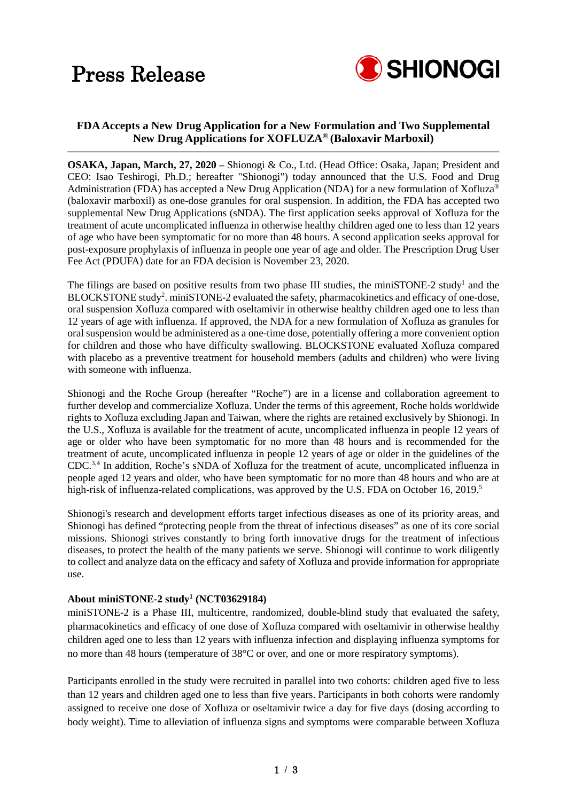## Press Release



## **FDA Accepts a New Drug Application for a New Formulation and Two Supplemental New Drug Applications for XOFLUZA® (Baloxavir Marboxil)**

**OSAKA, Japan, March, 27, 2020 –** Shionogi & Co., Ltd. (Head Office: Osaka, Japan; President and CEO: Isao Teshirogi, Ph.D.; hereafter "Shionogi") today announced that the U.S. Food and Drug Administration (FDA) has accepted a New Drug Application (NDA) for a new formulation of Xofluza® (baloxavir marboxil) as one-dose granules for oral suspension. In addition, the FDA has accepted two supplemental New Drug Applications (sNDA). The first application seeks approval of Xofluza for the treatment of acute uncomplicated influenza in otherwise healthy children aged one to less than 12 years of age who have been symptomatic for no more than 48 hours. A second application seeks approval for post-exposure prophylaxis of influenza in people one year of age and older. The Prescription Drug User Fee Act (PDUFA) date for an FDA decision is November 23, 2020.

The filings are based on positive results from two phase III studies, the miniSTONE-2 study<sup>1</sup> and the BLOCKSTONE study<sup>2</sup>. miniSTONE-2 evaluated the safety, pharmacokinetics and efficacy of one-dose, oral suspension Xofluza compared with oseltamivir in otherwise healthy children aged one to less than 12 years of age with influenza. If approved, the NDA for a new formulation of Xofluza as granules for oral suspension would be administered as a one-time dose, potentially offering a more convenient option for children and those who have difficulty swallowing. BLOCKSTONE evaluated Xofluza compared with placebo as a preventive treatment for household members (adults and children) who were living with someone with influenza.

Shionogi and the Roche Group (hereafter "Roche") are in a license and collaboration agreement to further develop and commercialize Xofluza. Under the terms of this agreement, Roche holds worldwide rights to Xofluza excluding Japan and Taiwan, where the rights are retained exclusively by Shionogi. In the U.S., Xofluza is available for the treatment of acute, uncomplicated influenza in people 12 years of age or older who have been symptomatic for no more than 48 hours and is recommended for the treatment of acute, uncomplicated influenza in people 12 years of age or older in the guidelines of the CDC.3,4 In addition, Roche's sNDA of Xofluza for the treatment of acute, uncomplicated influenza in people aged 12 years and older, who have been symptomatic for no more than 48 hours and who are at high-risk of influenza-related complications, was approved by the U.S. FDA on October 16, 2019.<sup>5</sup>

Shionogi's research and development efforts target infectious diseases as one of its priority areas, and Shionogi has defined "protecting people from the threat of infectious diseases" as one of its core social missions. Shionogi strives constantly to bring forth innovative drugs for the treatment of infectious diseases, to protect the health of the many patients we serve. Shionogi will continue to work diligently to collect and analyze data on the efficacy and safety of Xofluza and provide information for appropriate use.

## **About miniSTONE-2 study1 (NCT03629184)**

miniSTONE-2 is a Phase III, multicentre, randomized, double-blind study that evaluated the safety, pharmacokinetics and efficacy of one dose of Xofluza compared with oseltamivir in otherwise healthy children aged one to less than 12 years with influenza infection and displaying influenza symptoms for no more than 48 hours (temperature of 38°C or over, and one or more respiratory symptoms).

Participants enrolled in the study were recruited in parallel into two cohorts: children aged five to less than 12 years and children aged one to less than five years. Participants in both cohorts were randomly assigned to receive one dose of Xofluza or oseltamivir twice a day for five days (dosing according to body weight). Time to alleviation of influenza signs and symptoms were comparable between Xofluza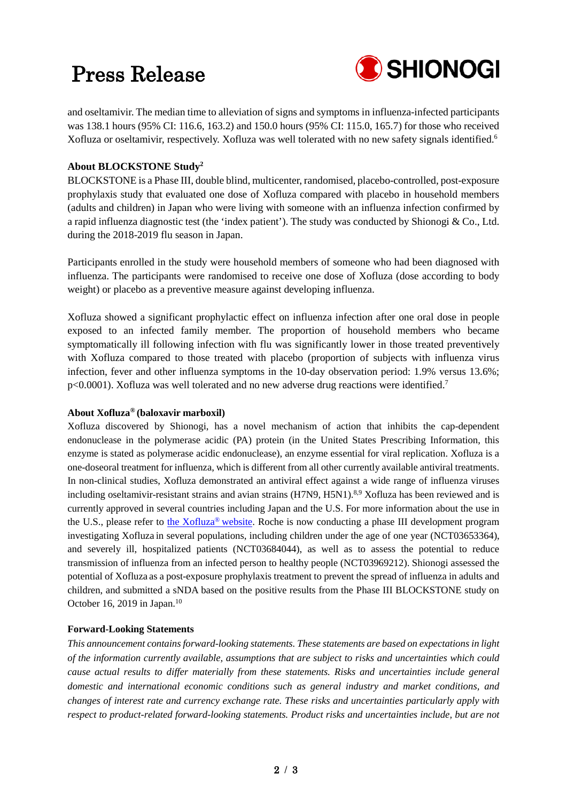# Press Release



and oseltamivir. The median time to alleviation of signs and symptoms in influenza-infected participants was 138.1 hours (95% CI: 116.6, 163.2) and 150.0 hours (95% CI: 115.0, 165.7) for those who received Xofluza or oseltamivir, respectively. Xofluza was well tolerated with no new safety signals identified.6

## **About BLOCKSTONE Study2**

BLOCKSTONE is a Phase III, double blind, multicenter, randomised, placebo-controlled, post-exposure prophylaxis study that evaluated one dose of Xofluza compared with placebo in household members (adults and children) in Japan who were living with someone with an influenza infection confirmed by a rapid influenza diagnostic test (the 'index patient'). The study was conducted by Shionogi & Co., Ltd. during the 2018-2019 flu season in Japan.

Participants enrolled in the study were household members of someone who had been diagnosed with influenza. The participants were randomised to receive one dose of Xofluza (dose according to body weight) or placebo as a preventive measure against developing influenza.

Xofluza showed a significant prophylactic effect on influenza infection after one oral dose in people exposed to an infected family member. The proportion of household members who became symptomatically ill following infection with flu was significantly lower in those treated preventively with Xofluza compared to those treated with placebo (proportion of subjects with influenza virus infection, fever and other influenza symptoms in the 10-day observation period: 1.9% versus 13.6%; p<0.0001). Xofluza was well tolerated and no new adverse drug reactions were identified.<sup>7</sup>

#### **About Xofluza® (baloxavir marboxil)**

Xofluza discovered by Shionogi, has a novel mechanism of action that inhibits the cap-dependent endonuclease in the polymerase acidic (PA) protein (in the United States Prescribing Information, this enzyme is stated as polymerase acidic endonuclease), an enzyme essential for viral replication. Xofluza is a one-doseoral treatment for influenza, which is different from all other currently available antiviral treatments. In non-clinical studies, Xofluza demonstrated an antiviral effect against a wide range of influenza viruses including oseltamivir-resistant strains and avian strains (H7N9, H5N1).<sup>8,9</sup> Xofluza has been reviewed and is currently approved in several countries including Japan and the U.S. For more information about the use in the U.S., please refer to the Xofluza<sup>®</sup> website. Roche is now conducting a phase III development program investigating Xofluza in several populations, including children under the age of one year (NCT03653364), and severely ill, hospitalized patients (NCT03684044), as well as to assess the potential to reduce transmission of influenza from an infected person to healthy people (NCT03969212). Shionogi assessed the potential of Xofluza as a post-exposure prophylaxis treatment to prevent the spread of influenza in adults and children, and submitted a sNDA based on the positive results from the Phase III BLOCKSTONE study on October 16, 2019 in Japan.<sup>10</sup>

### **Forward-Looking Statements**

*This announcement contains forward-looking statements. These statements are based on expectations in light of the information currently available, assumptions that are subject to risks and uncertainties which could cause actual results to differ materially from these statements. Risks and uncertainties include general domestic and international economic conditions such as general industry and market conditions, and changes of interest rate and currency exchange rate. These risks and uncertainties particularly apply with respect to product-related forward-looking statements. Product risks and uncertainties include, but are not*